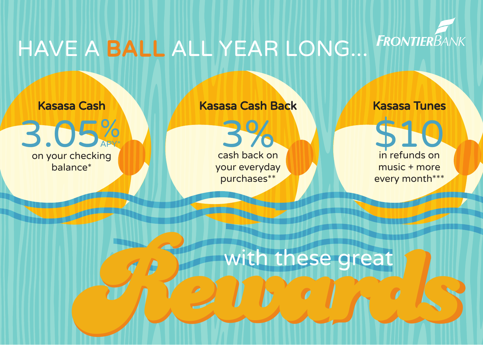

## HAVE A BALL ALL YEAR LONG...

Kasasa Cash



Kasasa Cash Back



Kasasa Tunes

\$10 in refunds on music + more every month\*\*\*

Rewith these great